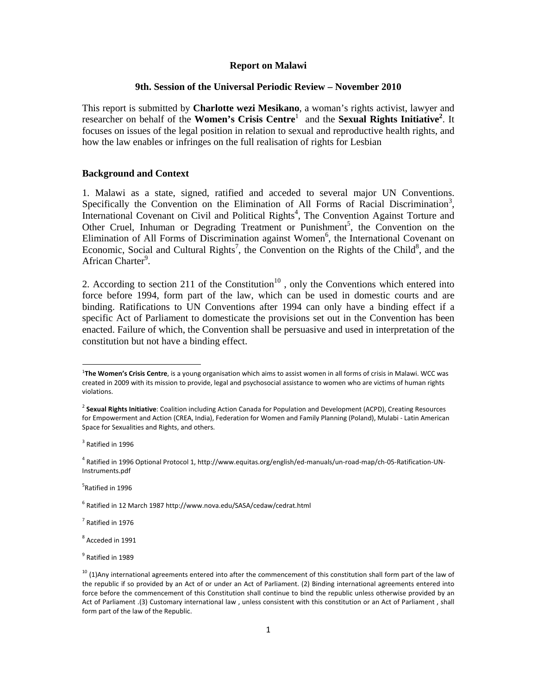### **Report on Malawi**

## **9th. Session of the Universal Periodic Review – November 2010**

This report is submitted by **Charlotte wezi Mesikano**, a woman's rights activist, lawyer and researcher on behalf of the **Women's Crisis Centre**<sup>1</sup> and the **Sexual Rights Initiative**<sup>2</sup>. It focuses on issues of the legal position in relation to sexual and reproductive health rights, and how the law enables or infringes on the full realisation of rights for Lesbian

# **Background and Context**

1. Malawi as a state, signed, ratified and acceded to several major UN Conventions. Specifically the Convention on the Elimination of All Forms of Racial Discrimination<sup>3</sup>, International Covenant on Civil and Political Rights<sup>4</sup>, The Convention Against Torture and Other Cruel, Inhuman or Degrading Treatment or Punishment<sup>5</sup>, the Convention on the Elimination of All Forms of Discrimination against Women<sup>6</sup>, the International Covenant on Economic, Social and Cultural Rights<sup>7</sup>, the Convention on the Rights of the Child<sup>8</sup>, and the African Charter<sup>9</sup>.

2. According to section 211 of the Constitution<sup>10</sup>, only the Conventions which entered into force before 1994, form part of the law, which can be used in domestic courts and are binding. Ratifications to UN Conventions after 1994 can only have a binding effect if a specific Act of Parliament to domesticate the provisions set out in the Convention has been enacted. Failure of which, the Convention shall be persuasive and used in interpretation of the constitution but not have a binding effect.

5 Ratified in 1996

<sup>6</sup> Ratified in 12 March 1987 http://www.nova.edu/SASA/cedaw/cedrat.html

 $<sup>7</sup>$  Ratified in 1976</sup>

<sup>8</sup> Acceded in 1991

<sup>9</sup> Ratified in 1989

<sup>1</sup> **The Women's Crisis Centre**, is a young organisation which aims to assist women in all forms of crisis in Malawi. WCC was created in 2009 with its mission to provide, legal and psychosocial assistance to women who are victims of human rights violations.

<sup>2</sup> **Sexual Rights Initiative**: Coalition including Action Canada for Population and Development (ACPD), Creating Resources for Empowerment and Action (CREA, India), Federation for Women and Family Planning (Poland), Mulabi ‐ Latin American Space for Sexualities and Rights, and others.

<sup>&</sup>lt;sup>3</sup> Ratified in 1996

<sup>4</sup> Ratified in 1996 Optional Protocol 1, http://www.equitas.org/english/ed‐manuals/un‐road‐map/ch‐05‐Ratification‐UN‐ Instruments.pdf

 $10$  (1)Any international agreements entered into after the commencement of this constitution shall form part of the law of the republic if so provided by an Act of or under an Act of Parliament. (2) Binding international agreements entered into force before the commencement of this Constitution shall continue to bind the republic unless otherwise provided by an Act of Parliament .(3) Customary international law , unless consistent with this constitution or an Act of Parliament , shall form part of the law of the Republic.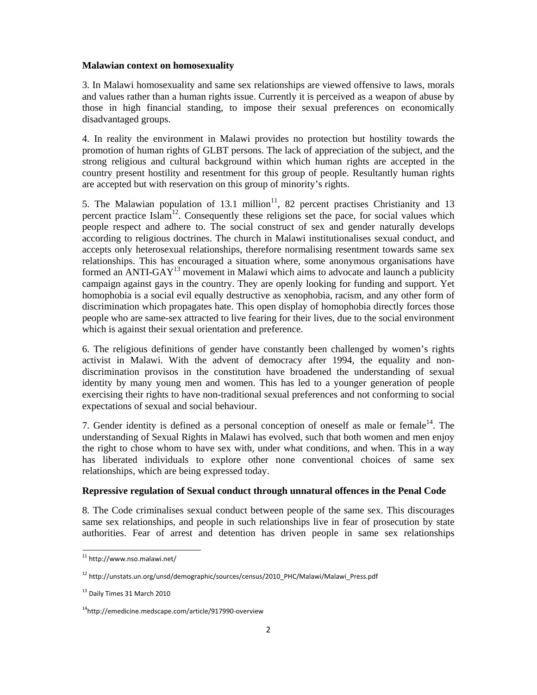### **Malawian context on homosexuality**

3. In Malawi homosexuality and same sex relationships are viewed offensive to laws, morals and values rather than a human rights issue. Currently it is perceived as a weapon of abuse by those in high financial standing, to impose their sexual preferences on economically disadvantaged groups.

4. In reality the environment in Malawi provides no protection but hostility towards the promotion of human rights of GLBT persons. The lack of appreciation of the subject, and the strong religious and cultural background within which human rights are accepted in the country present hostility and resentment for this group of people. Resultantly human rights are accepted but with reservation on this group of minority's rights.

5. The Malawian population of 13.1 million $11$ , 82 percent practises Christianity and 13 percent practice Islam<sup>12</sup>. Consequently these religions set the pace, for social values which people respect and adhere to. The social construct of sex and gender naturally develops according to religious doctrines. The church in Malawi institutionalises sexual conduct, and accepts only heterosexual relationships, therefore normalising resentment towards same sex relationships. This has encouraged a situation where, some anonymous organisations have formed an ANTI-GAY<sup>13</sup> movement in Malawi which aims to advocate and launch a publicity campaign against gays in the country. They are openly looking for funding and support. Yet homophobia is a social evil equally destructive as xenophobia, racism, and any other form of discrimination which propagates hate. This open display of homophobia directly forces those people who are same-sex attracted to live fearing for their lives, due to the social environment which is against their sexual orientation and preference.

6. The religious definitions of gender have constantly been challenged by women's rights activist in Malawi. With the advent of democracy after 1994, the equality and nondiscrimination provisos in the constitution have broadened the understanding of sexual identity by many young men and women. This has led to a younger generation of people exercising their rights to have non-traditional sexual preferences and not conforming to social expectations of sexual and social behaviour.

7. Gender identity is defined as a personal conception of oneself as male or female<sup>14</sup>. The understanding of Sexual Rights in Malawi has evolved, such that both women and men enjoy the right to chose whom to have sex with, under what conditions, and when. This in a way has liberated individuals to explore other none conventional choices of same sex relationships, which are being expressed today.

### **Repressive regulation of Sexual conduct through unnatural offences in the Penal Code**

8. The Code criminalises sexual conduct between people of the same sex. This discourages same sex relationships, and people in such relationships live in fear of prosecution by state authorities. Fear of arrest and detention has driven people in same sex relationships

<sup>11</sup> http://www.nso.malawi.net/

<sup>12</sup> http://unstats.un.org/unsd/demographic/sources/census/2010\_PHC/Malawi/Malawi\_Press.pdf

<sup>&</sup>lt;sup>13</sup> Daily Times 31 March 2010

<sup>&</sup>lt;sup>14</sup>http://emedicine.medscape.com/article/917990-overview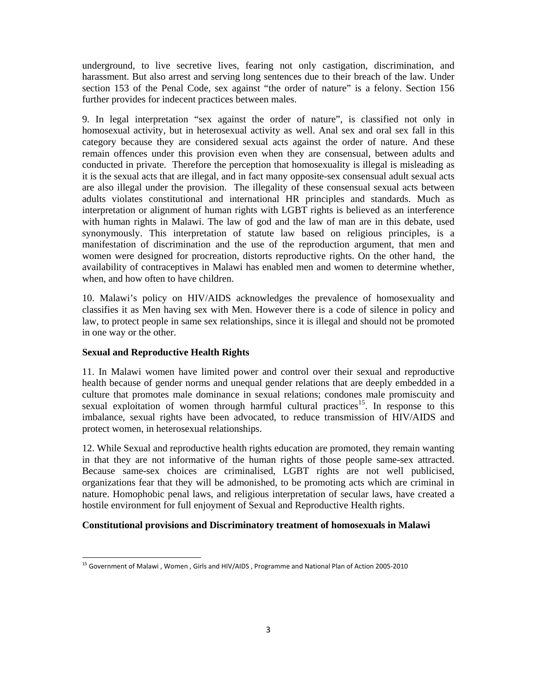underground, to live secretive lives, fearing not only castigation, discrimination, and harassment. But also arrest and serving long sentences due to their breach of the law. Under section 153 of the Penal Code, sex against "the order of nature" is a felony. Section 156 further provides for indecent practices between males.

9. In legal interpretation "sex against the order of nature", is classified not only in homosexual activity, but in heterosexual activity as well. Anal sex and oral sex fall in this category because they are considered sexual acts against the order of nature. And these remain offences under this provision even when they are consensual, between adults and conducted in private. Therefore the perception that homosexuality is illegal is misleading as it is the sexual acts that are illegal, and in fact many opposite-sex consensual adult sexual acts are also illegal under the provision. The illegality of these consensual sexual acts between adults violates constitutional and international HR principles and standards. Much as interpretation or alignment of human rights with LGBT rights is believed as an interference with human rights in Malawi. The law of god and the law of man are in this debate, used synonymously. This interpretation of statute law based on religious principles, is a manifestation of discrimination and the use of the reproduction argument, that men and women were designed for procreation, distorts reproductive rights. On the other hand, the availability of contraceptives in Malawi has enabled men and women to determine whether, when, and how often to have children.

10. Malawi's policy on HIV/AIDS acknowledges the prevalence of homosexuality and classifies it as Men having sex with Men. However there is a code of silence in policy and law, to protect people in same sex relationships, since it is illegal and should not be promoted in one way or the other.

# **Sexual and Reproductive Health Rights**

11. In Malawi women have limited power and control over their sexual and reproductive health because of gender norms and unequal gender relations that are deeply embedded in a culture that promotes male dominance in sexual relations; condones male promiscuity and sexual exploitation of women through harmful cultural practices<sup>15</sup>. In response to this imbalance, sexual rights have been advocated, to reduce transmission of HIV/AIDS and protect women, in heterosexual relationships.

12. While Sexual and reproductive health rights education are promoted, they remain wanting in that they are not informative of the human rights of those people same-sex attracted. Because same-sex choices are criminalised, LGBT rights are not well publicised, organizations fear that they will be admonished, to be promoting acts which are criminal in nature. Homophobic penal laws, and religious interpretation of secular laws, have created a hostile environment for full enjoyment of Sexual and Reproductive Health rights.

## **Constitutional provisions and Discriminatory treatment of homosexuals in Malawi**

<sup>&</sup>lt;sup>15</sup> Government of Malawi , Women , Girls and HIV/AIDS , Programme and National Plan of Action 2005-2010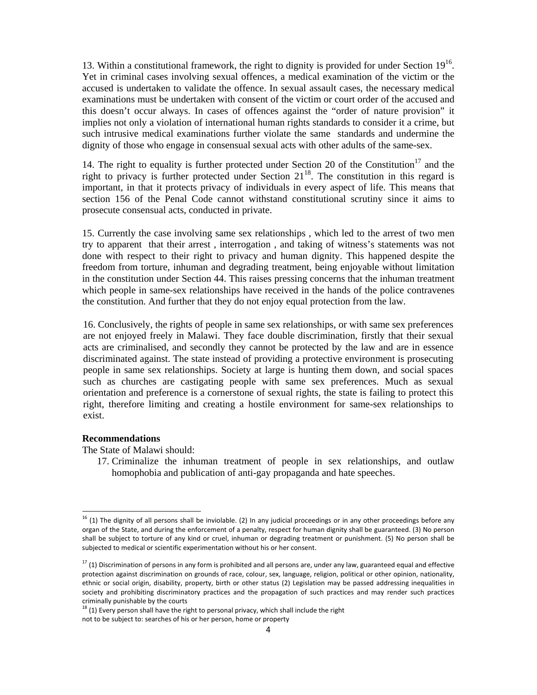13. Within a constitutional framework, the right to dignity is provided for under Section 1916. Yet in criminal cases involving sexual offences, a medical examination of the victim or the accused is undertaken to validate the offence. In sexual assault cases, the necessary medical examinations must be undertaken with consent of the victim or court order of the accused and this doesn't occur always. In cases of offences against the "order of nature provision" it implies not only a violation of international human rights standards to consider it a crime, but such intrusive medical examinations further violate the same standards and undermine the dignity of those who engage in consensual sexual acts with other adults of the same-sex.

14. The right to equality is further protected under Section 20 of the Constitution<sup>17</sup> and the right to privacy is further protected under Section  $21^{18}$ . The constitution in this regard is important, in that it protects privacy of individuals in every aspect of life. This means that section 156 of the Penal Code cannot withstand constitutional scrutiny since it aims to prosecute consensual acts, conducted in private.

15. Currently the case involving same sex relationships , which led to the arrest of two men try to apparent that their arrest , interrogation , and taking of witness's statements was not done with respect to their right to privacy and human dignity. This happened despite the freedom from torture, inhuman and degrading treatment, being enjoyable without limitation in the constitution under Section 44. This raises pressing concerns that the inhuman treatment which people in same-sex relationships have received in the hands of the police contravenes the constitution. And further that they do not enjoy equal protection from the law.

16. Conclusively, the rights of people in same sex relationships, or with same sex preferences are not enjoyed freely in Malawi. They face double discrimination, firstly that their sexual acts are criminalised, and secondly they cannot be protected by the law and are in essence discriminated against. The state instead of providing a protective environment is prosecuting people in same sex relationships. Society at large is hunting them down, and social spaces such as churches are castigating people with same sex preferences. Much as sexual orientation and preference is a cornerstone of sexual rights, the state is failing to protect this right, therefore limiting and creating a hostile environment for same-sex relationships to exist.

### **Recommendations**

The State of Malawi should:

17. Criminalize the inhuman treatment of people in sex relationships, and outlaw homophobia and publication of anti-gay propaganda and hate speeches.

 $16$  (1) The dignity of all persons shall be inviolable. (2) In any judicial proceedings or in any other proceedings before any organ of the State, and during the enforcement of a penalty, respect for human dignity shall be guaranteed. (3) No person shall be subject to torture of any kind or cruel, inhuman or degrading treatment or punishment. (5) No person shall be subjected to medical or scientific experimentation without his or her consent.

 $17$  (1) Discrimination of persons in any form is prohibited and all persons are, under any law, guaranteed equal and effective protection against discrimination on grounds of race, colour, sex, language, religion, political or other opinion, nationality, ethnic or social origin, disability, property, birth or other status (2) Legislation may be passed addressing inequalities in society and prohibiting discriminatory practices and the propagation of such practices and may render such practices criminally punishable by the courts<br><sup>18</sup> (1) Every person shall have the right to personal privacy, which shall include the right

not to be subject to: searches of his or her person, home or property